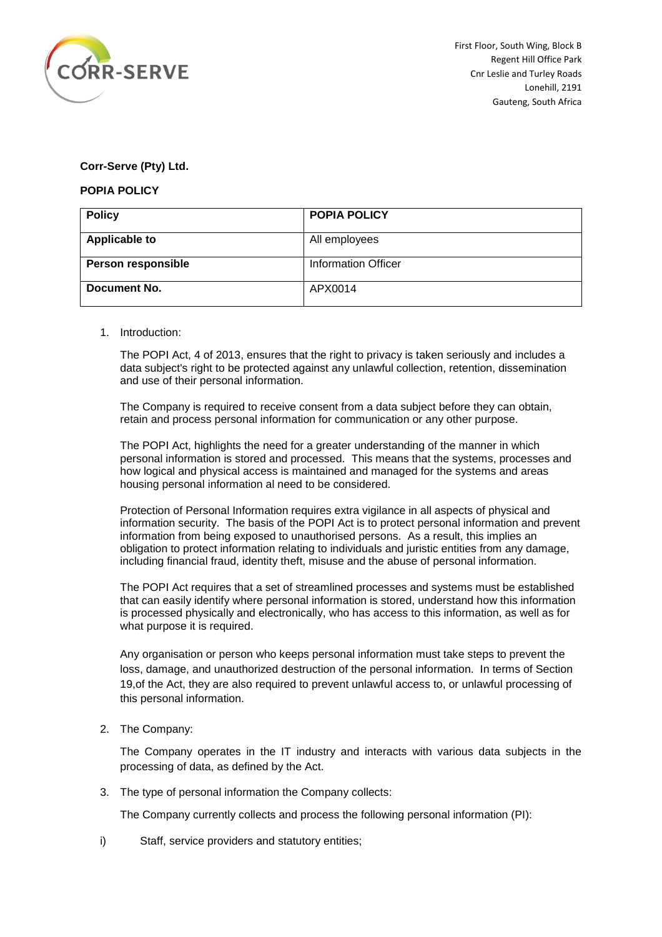

## **Corr-Serve (Pty) Ltd.**

## **POPIA POLICY**

| <b>Policy</b>        | <b>POPIA POLICY</b>        |
|----------------------|----------------------------|
| <b>Applicable to</b> | All employees              |
| Person responsible   | <b>Information Officer</b> |
| Document No.         | APX0014                    |

## 1. Introduction:

The POPI Act, 4 of 2013, ensures that the right to privacy is taken seriously and includes a data subject's right to be protected against any unlawful collection, retention, dissemination and use of their personal information.

The Company is required to receive consent from a data subject before they can obtain, retain and process personal information for communication or any other purpose.

The POPI Act, highlights the need for a greater understanding of the manner in which personal information is stored and processed. This means that the systems, processes and how logical and physical access is maintained and managed for the systems and areas housing personal information al need to be considered.

Protection of Personal Information requires extra vigilance in all aspects of physical and information security. The basis of the POPI Act is to protect personal information and prevent information from being exposed to unauthorised persons. As a result, this implies an obligation to protect information relating to individuals and juristic entities from any damage, including financial fraud, identity theft, misuse and the abuse of personal information.

The POPI Act requires that a set of streamlined processes and systems must be established that can easily identify where personal information is stored, understand how this information is processed physically and electronically, who has access to this information, as well as for what purpose it is required.

Any organisation or person who keeps personal information must take steps to prevent the loss, damage, and unauthorized destruction of the personal information. In terms of Section 19,of the Act, they are also required to prevent unlawful access to, or unlawful processing of this personal information.

2. The Company:

The Company operates in the IT industry and interacts with various data subjects in the processing of data, as defined by the Act.

3. The type of personal information the Company collects:

The Company currently collects and process the following personal information (PI):

i) Staff, service providers and statutory entities;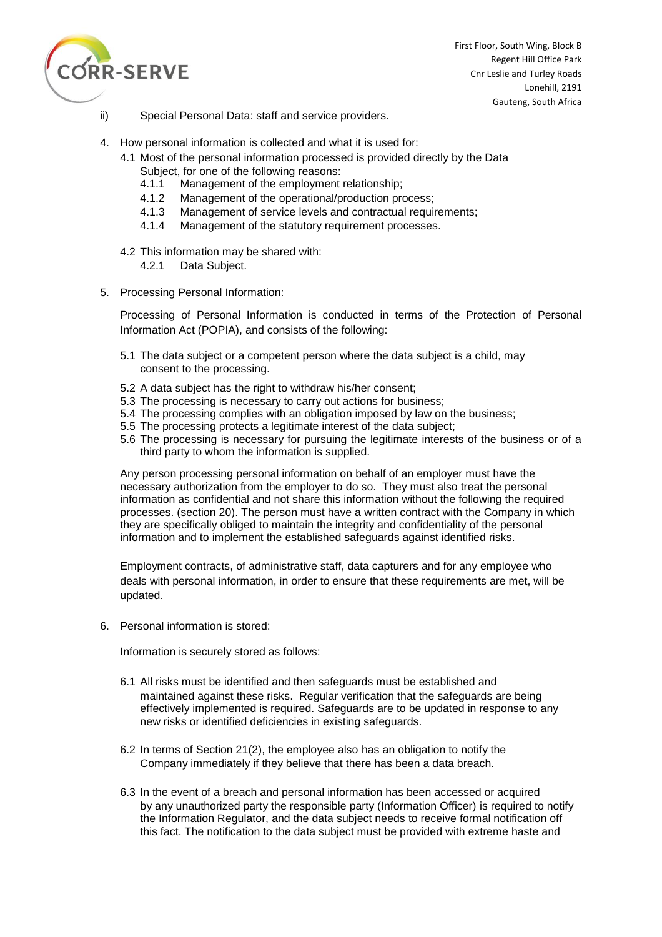

First Floor, South Wing, Block B Regent Hill Office Park Cnr Leslie and Turley Roads Lonehill, 2191 Gauteng, South Africa

- ii) Special Personal Data: staff and service providers.
- 4. How personal information is collected and what it is used for:
	- 4.1 Most of the personal information processed is provided directly by the Data
		- Subject, for one of the following reasons:
		- 4.1.1 Management of the employment relationship;
		- 4.1.2 Management of the operational/production process;
		- 4.1.3 Management of service levels and contractual requirements;
		- 4.1.4 Management of the statutory requirement processes.
	- 4.2 This information may be shared with: 4.2.1 Data Subject.
- 5. Processing Personal Information:

Processing of Personal Information is conducted in terms of the Protection of Personal Information Act (POPIA), and consists of the following:

- 5.1 The data subject or a competent person where the data subject is a child, may consent to the processing.
- 5.2 A data subject has the right to withdraw his/her consent;
- 5.3 The processing is necessary to carry out actions for business;
- 5.4 The processing complies with an obligation imposed by law on the business;
- 5.5 The processing protects a legitimate interest of the data subject;
- 5.6 The processing is necessary for pursuing the legitimate interests of the business or of a third party to whom the information is supplied.

Any person processing personal information on behalf of an employer must have the necessary authorization from the employer to do so. They must also treat the personal information as confidential and not share this information without the following the required processes. (section 20). The person must have a written contract with the Company in which they are specifically obliged to maintain the integrity and confidentiality of the personal information and to implement the established safeguards against identified risks.

Employment contracts, of administrative staff, data capturers and for any employee who deals with personal information, in order to ensure that these requirements are met, will be updated.

6. Personal information is stored:

Information is securely stored as follows:

- 6.1 All risks must be identified and then safeguards must be established and maintained against these risks. Regular verification that the safeguards are being effectively implemented is required. Safeguards are to be updated in response to any new risks or identified deficiencies in existing safeguards.
- 6.2 In terms of Section 21(2), the employee also has an obligation to notify the Company immediately if they believe that there has been a data breach.
- 6.3 In the event of a breach and personal information has been accessed or acquired by any unauthorized party the responsible party (Information Officer) is required to notify the Information Regulator, and the data subject needs to receive formal notification off this fact. The notification to the data subject must be provided with extreme haste and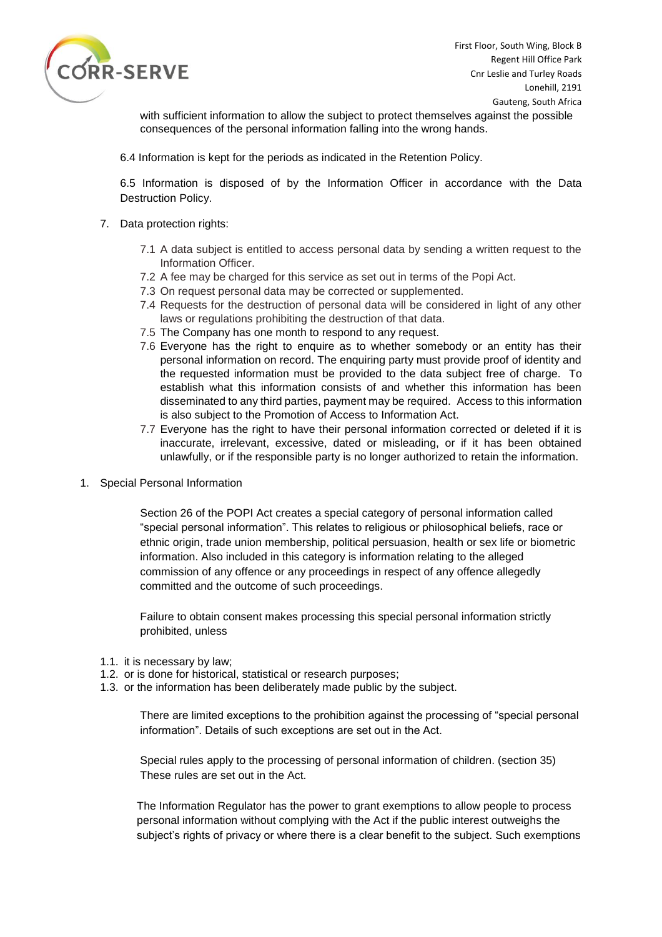

with sufficient information to allow the subject to protect themselves against the possible consequences of the personal information falling into the wrong hands.

6.4 Information is kept for the periods as indicated in the Retention Policy.

6.5 Information is disposed of by the Information Officer in accordance with the Data Destruction Policy.

- 7. Data protection rights:
	- 7.1 A data subject is entitled to access personal data by sending a written request to the Information Officer.
	- 7.2 A fee may be charged for this service as set out in terms of the Popi Act.
	- 7.3 On request personal data may be corrected or supplemented.
	- 7.4 Requests for the destruction of personal data will be considered in light of any other laws or regulations prohibiting the destruction of that data.
	- 7.5 The Company has one month to respond to any request.
	- 7.6 Everyone has the right to enquire as to whether somebody or an entity has their personal information on record. The enquiring party must provide proof of identity and the requested information must be provided to the data subject free of charge. To establish what this information consists of and whether this information has been disseminated to any third parties, payment may be required. Access to this information is also subject to the Promotion of Access to Information Act.
	- 7.7 Everyone has the right to have their personal information corrected or deleted if it is inaccurate, irrelevant, excessive, dated or misleading, or if it has been obtained unlawfully, or if the responsible party is no longer authorized to retain the information.
- 1. Special Personal Information

Section 26 of the POPI Act creates a special category of personal information called "special personal information". This relates to religious or philosophical beliefs, race or ethnic origin, trade union membership, political persuasion, health or sex life or biometric information. Also included in this category is information relating to the alleged commission of any offence or any proceedings in respect of any offence allegedly committed and the outcome of such proceedings.

Failure to obtain consent makes processing this special personal information strictly prohibited, unless

- 1.1. it is necessary by law;
- 1.2. or is done for historical, statistical or research purposes;
- 1.3. or the information has been deliberately made public by the subject.

There are limited exceptions to the prohibition against the processing of "special personal information". Details of such exceptions are set out in the Act.

Special rules apply to the processing of personal information of children. (section 35) These rules are set out in the Act.

The Information Regulator has the power to grant exemptions to allow people to process personal information without complying with the Act if the public interest outweighs the subject's rights of privacy or where there is a clear benefit to the subject. Such exemptions